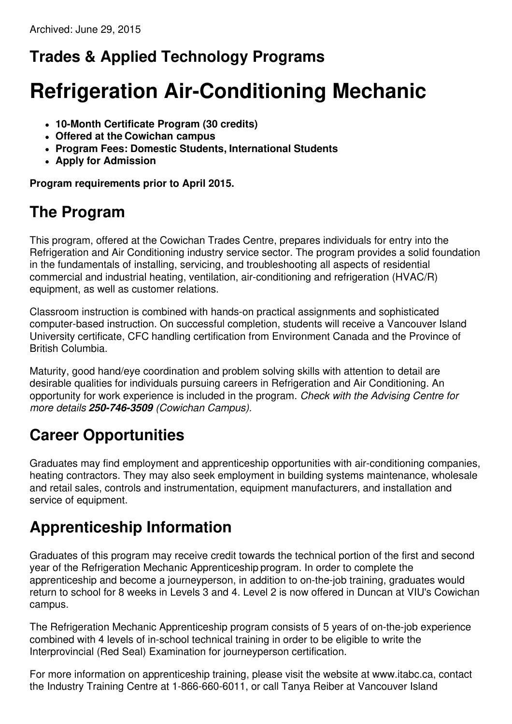## **Trades & Applied Technology Programs**

# **Refrigeration Air-Conditioning Mechanic**

- **10-Month Certificate Program (30 credits)**
- **Offered at the Cowichan campus**
- **Program Fees: Domestic Students, International Students**
- **Apply for Admission**

**Program requirements prior to April 2015.**

#### **The Program**

This program, offered at the Cowichan Trades Centre, prepares individuals for entry into the Refrigeration and Air Conditioning industry service sector. The program provides a solid foundation in the fundamentals of installing, servicing, and troubleshooting all aspects of residential commercial and industrial heating, ventilation, air-conditioning and refrigeration (HVAC/R) equipment, as well as customer relations.

Classroom instruction is combined with hands-on practical assignments and sophisticated computer-based instruction. On successful completion, students will receive a Vancouver Island University certificate, CFC handling certification from Environment Canada and the Province of British Columbia.

Maturity, good hand/eye coordination and problem solving skills with attention to detail are desirable qualities for individuals pursuing careers in Refrigeration and Air Conditioning. An opportunity for work experience is included in the program. *Check with the Advising Centre for more details 250-746-3509 (Cowichan Campus).*

## **Career Opportunities**

Graduates may find employment and apprenticeship opportunities with air-conditioning companies, heating contractors. They may also seek employment in building systems maintenance, wholesale and retail sales, controls and instrumentation, equipment manufacturers, and installation and service of equipment.

### **Apprenticeship Information**

Graduates of this program may receive credit towards the technical portion of the first and second year of the Refrigeration Mechanic Apprenticeship program. In order to complete the apprenticeship and become a journeyperson, in addition to on-the-job training, graduates would return to school for 8 weeks in Levels 3 and 4. Level 2 is now offered in Duncan at VIU's Cowichan campus.

The Refrigeration Mechanic Apprenticeship program consists of 5 years of on-the-job experience combined with 4 levels of in-school technical training in order to be eligible to write the Interprovincial (Red Seal) Examination for journeyperson certification.

For more information on apprenticeship training, please visit the website at www.itabc.ca, contact the Industry Training Centre at 1-866-660-6011, or call Tanya Reiber at Vancouver Island